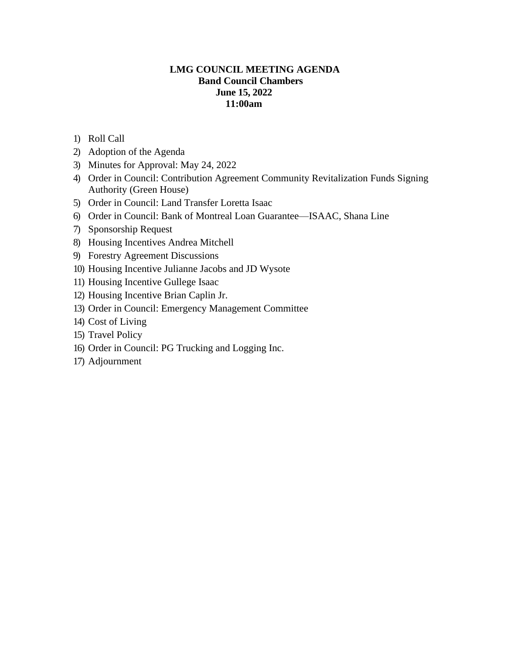# **LMG COUNCIL MEETING AGENDA Band Council Chambers June 15, 2022 11:00am**

- 1) Roll Call
- 2) Adoption of the Agenda
- 3) Minutes for Approval: May 24, 2022
- 4) Order in Council: Contribution Agreement Community Revitalization Funds Signing Authority (Green House)
- 5) Order in Council: Land Transfer Loretta Isaac
- 6) Order in Council: Bank of Montreal Loan Guarantee—ISAAC, Shana Line
- 7) Sponsorship Request
- 8) Housing Incentives Andrea Mitchell
- 9) Forestry Agreement Discussions
- 10) Housing Incentive Julianne Jacobs and JD Wysote
- 11) Housing Incentive Gullege Isaac
- 12) Housing Incentive Brian Caplin Jr.
- 13) Order in Council: Emergency Management Committee
- 14) Cost of Living
- 15) Travel Policy
- 16) Order in Council: PG Trucking and Logging Inc.
- 17) Adjournment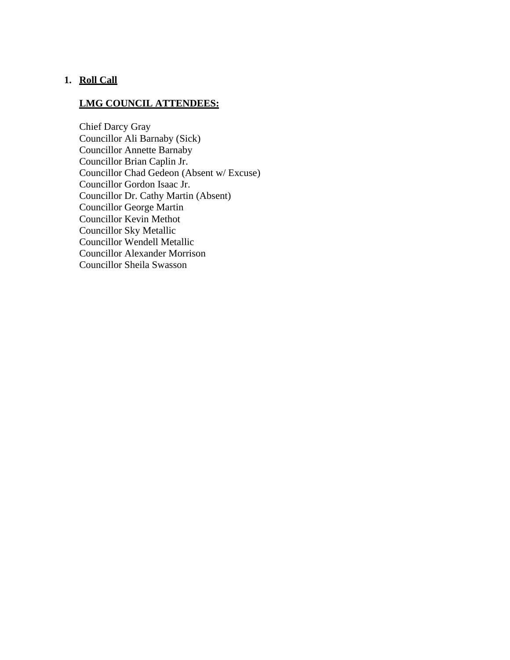# **1. Roll Call**

# **LMG COUNCIL ATTENDEES:**

Chief Darcy Gray Councillor Ali Barnaby (Sick) Councillor Annette Barnaby Councillor Brian Caplin Jr. Councillor Chad Gedeon (Absent w/ Excuse) Councillor Gordon Isaac Jr. Councillor Dr. Cathy Martin (Absent) Councillor George Martin Councillor Kevin Methot Councillor Sky Metallic Councillor Wendell Metallic Councillor Alexander Morrison Councillor Sheila Swasson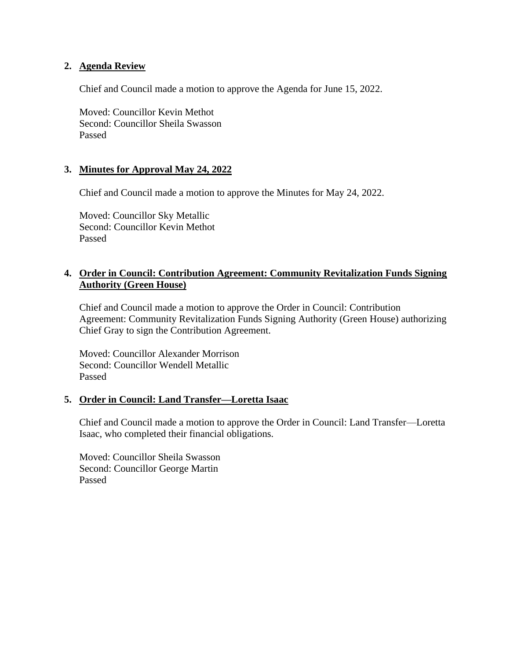## **2. Agenda Review**

Chief and Council made a motion to approve the Agenda for June 15, 2022.

Moved: Councillor Kevin Methot Second: Councillor Sheila Swasson Passed

## **3. Minutes for Approval May 24, 2022**

Chief and Council made a motion to approve the Minutes for May 24, 2022.

Moved: Councillor Sky Metallic Second: Councillor Kevin Methot Passed

# **4. Order in Council: Contribution Agreement: Community Revitalization Funds Signing Authority (Green House)**

Chief and Council made a motion to approve the Order in Council: Contribution Agreement: Community Revitalization Funds Signing Authority (Green House) authorizing Chief Gray to sign the Contribution Agreement.

Moved: Councillor Alexander Morrison Second: Councillor Wendell Metallic Passed

#### **5. Order in Council: Land Transfer—Loretta Isaac**

Chief and Council made a motion to approve the Order in Council: Land Transfer—Loretta Isaac, who completed their financial obligations.

Moved: Councillor Sheila Swasson Second: Councillor George Martin Passed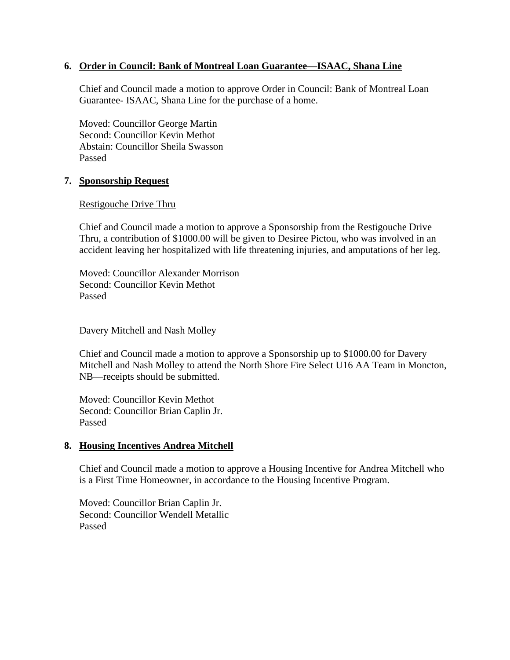# **6. Order in Council: Bank of Montreal Loan Guarantee—ISAAC, Shana Line**

Chief and Council made a motion to approve Order in Council: Bank of Montreal Loan Guarantee- ISAAC, Shana Line for the purchase of a home.

Moved: Councillor George Martin Second: Councillor Kevin Methot Abstain: Councillor Sheila Swasson Passed

#### **7. Sponsorship Request**

#### Restigouche Drive Thru

Chief and Council made a motion to approve a Sponsorship from the Restigouche Drive Thru, a contribution of \$1000.00 will be given to Desiree Pictou, who was involved in an accident leaving her hospitalized with life threatening injuries, and amputations of her leg.

Moved: Councillor Alexander Morrison Second: Councillor Kevin Methot Passed

#### Davery Mitchell and Nash Molley

Chief and Council made a motion to approve a Sponsorship up to \$1000.00 for Davery Mitchell and Nash Molley to attend the North Shore Fire Select U16 AA Team in Moncton, NB—receipts should be submitted.

Moved: Councillor Kevin Methot Second: Councillor Brian Caplin Jr. Passed

#### **8. Housing Incentives Andrea Mitchell**

Chief and Council made a motion to approve a Housing Incentive for Andrea Mitchell who is a First Time Homeowner, in accordance to the Housing Incentive Program.

Moved: Councillor Brian Caplin Jr. Second: Councillor Wendell Metallic Passed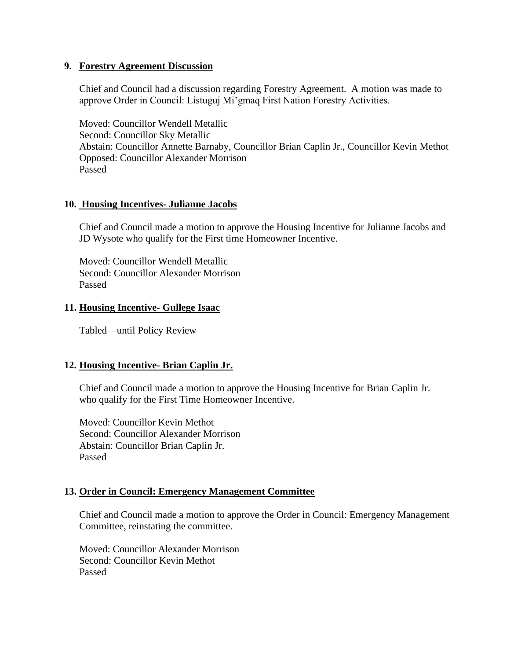#### **9. Forestry Agreement Discussion**

Chief and Council had a discussion regarding Forestry Agreement. A motion was made to approve Order in Council: Listuguj Mi'gmaq First Nation Forestry Activities.

Moved: Councillor Wendell Metallic Second: Councillor Sky Metallic Abstain: Councillor Annette Barnaby, Councillor Brian Caplin Jr., Councillor Kevin Methot Opposed: Councillor Alexander Morrison Passed

## **10. Housing Incentives- Julianne Jacobs**

Chief and Council made a motion to approve the Housing Incentive for Julianne Jacobs and JD Wysote who qualify for the First time Homeowner Incentive.

Moved: Councillor Wendell Metallic Second: Councillor Alexander Morrison Passed

#### **11. Housing Incentive- Gullege Isaac**

Tabled—until Policy Review

# **12. Housing Incentive- Brian Caplin Jr.**

Chief and Council made a motion to approve the Housing Incentive for Brian Caplin Jr. who qualify for the First Time Homeowner Incentive.

Moved: Councillor Kevin Methot Second: Councillor Alexander Morrison Abstain: Councillor Brian Caplin Jr. Passed

#### **13. Order in Council: Emergency Management Committee**

Chief and Council made a motion to approve the Order in Council: Emergency Management Committee, reinstating the committee.

Moved: Councillor Alexander Morrison Second: Councillor Kevin Methot Passed